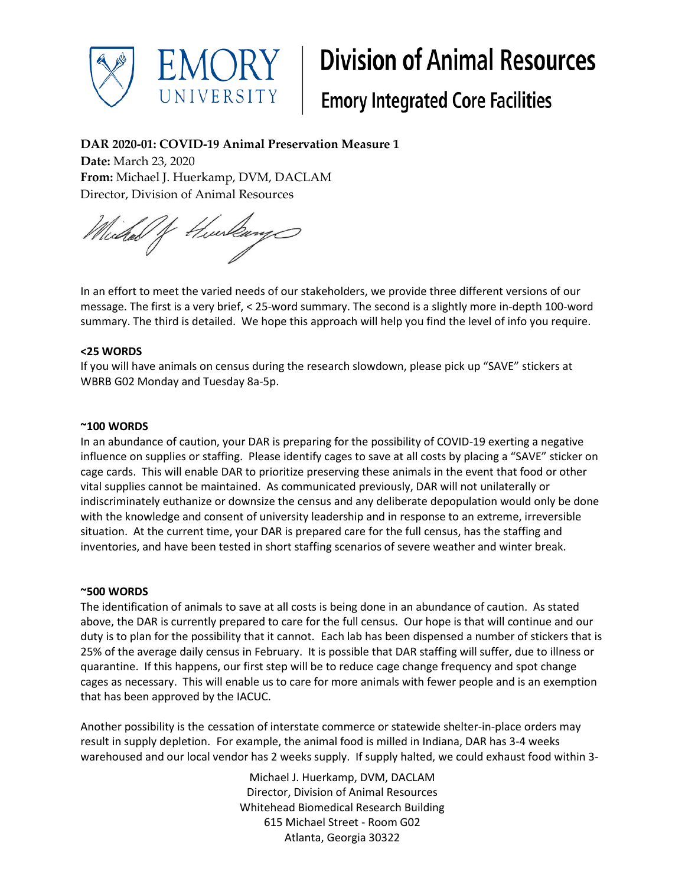

# **Division of Animal Resources**

## **Emory Integrated Core Facilities**

### **DAR 2020-01: COVID-19 Animal Preservation Measure 1**

**Date:** March 23, 2020 **From:** Michael J. Huerkamp, DVM, DACLAM Director, Division of Animal Resources

Hurlay Wichel J

In an effort to meet the varied needs of our stakeholders, we provide three different versions of our message. The first is a very brief, < 25-word summary. The second is a slightly more in-depth 100-word summary. The third is detailed. We hope this approach will help you find the level of info you require.

#### **<25 WORDS**

If you will have animals on census during the research slowdown, please pick up "SAVE" stickers at WBRB G02 Monday and Tuesday 8a-5p.

#### **~100 WORDS**

In an abundance of caution, your DAR is preparing for the possibility of COVID-19 exerting a negative influence on supplies or staffing. Please identify cages to save at all costs by placing a "SAVE" sticker on cage cards. This will enable DAR to prioritize preserving these animals in the event that food or other vital supplies cannot be maintained. As communicated previously, DAR will not unilaterally or indiscriminately euthanize or downsize the census and any deliberate depopulation would only be done with the knowledge and consent of university leadership and in response to an extreme, irreversible situation. At the current time, your DAR is prepared care for the full census, has the staffing and inventories, and have been tested in short staffing scenarios of severe weather and winter break.

#### **~500 WORDS**

The identification of animals to save at all costs is being done in an abundance of caution. As stated above, the DAR is currently prepared to care for the full census. Our hope is that will continue and our duty is to plan for the possibility that it cannot. Each lab has been dispensed a number of stickers that is 25% of the average daily census in February. It is possible that DAR staffing will suffer, due to illness or quarantine. If this happens, our first step will be to reduce cage change frequency and spot change cages as necessary. This will enable us to care for more animals with fewer people and is an exemption that has been approved by the IACUC.

Another possibility is the cessation of interstate commerce or statewide shelter-in-place orders may result in supply depletion. For example, the animal food is milled in Indiana, DAR has 3-4 weeks warehoused and our local vendor has 2 weeks supply. If supply halted, we could exhaust food within 3-

> Michael J. Huerkamp, DVM, DACLAM Director, Division of Animal Resources Whitehead Biomedical Research Building 615 Michael Street - Room G02 Atlanta, Georgia 30322